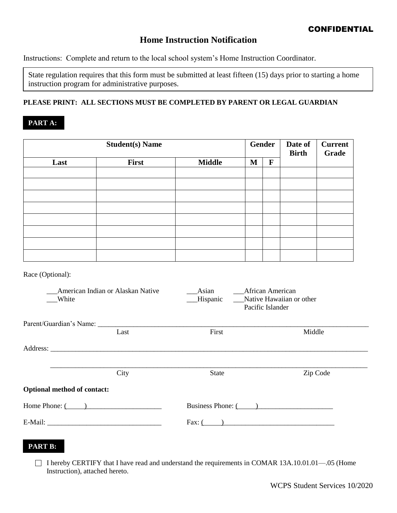# **Home Instruction Notification**

Instructions: Complete and return to the local school system's Home Instruction Coordinator.

State regulation requires that this form must be submitted at least fifteen (15) days prior to starting a home instruction program for administrative purposes.

### **PLEASE PRINT: ALL SECTIONS MUST BE COMPLETED BY PARENT OR LEGAL GUARDIAN**

## **PART A:**

| <b>Student(s) Name</b> |       |               | <b>Gender</b> |   | Date of<br><b>Birth</b> | <b>Current</b><br><b>Grade</b> |
|------------------------|-------|---------------|---------------|---|-------------------------|--------------------------------|
| Last                   | First | <b>Middle</b> | M             | F |                         |                                |
|                        |       |               |               |   |                         |                                |
|                        |       |               |               |   |                         |                                |
|                        |       |               |               |   |                         |                                |
|                        |       |               |               |   |                         |                                |
|                        |       |               |               |   |                         |                                |
|                        |       |               |               |   |                         |                                |
|                        |       |               |               |   |                         |                                |
|                        |       |               |               |   |                         |                                |

Race (Optional):

| American Indian or Alaskan Native<br>White |  | Asian<br>Hispanic | African American<br>Native Hawaiian or other<br>Pacific Islander |          |  |  |  |
|--------------------------------------------|--|-------------------|------------------------------------------------------------------|----------|--|--|--|
|                                            |  |                   |                                                                  |          |  |  |  |
| Last                                       |  | First             |                                                                  | Middle   |  |  |  |
|                                            |  |                   |                                                                  |          |  |  |  |
| City                                       |  | <b>State</b>      |                                                                  | Zip Code |  |  |  |
| <b>Optional method of contact:</b>         |  |                   |                                                                  |          |  |  |  |
| Home Phone: $($                            |  |                   | Business Phone: ()                                               |          |  |  |  |
|                                            |  |                   | Fax: $\left($ $\right)$                                          |          |  |  |  |

### **PART B:**

 $\Box$  I hereby CERTIFY that I have read and understand the requirements in COMAR 13A.10.01.01—.05 (Home Instruction), attached hereto.